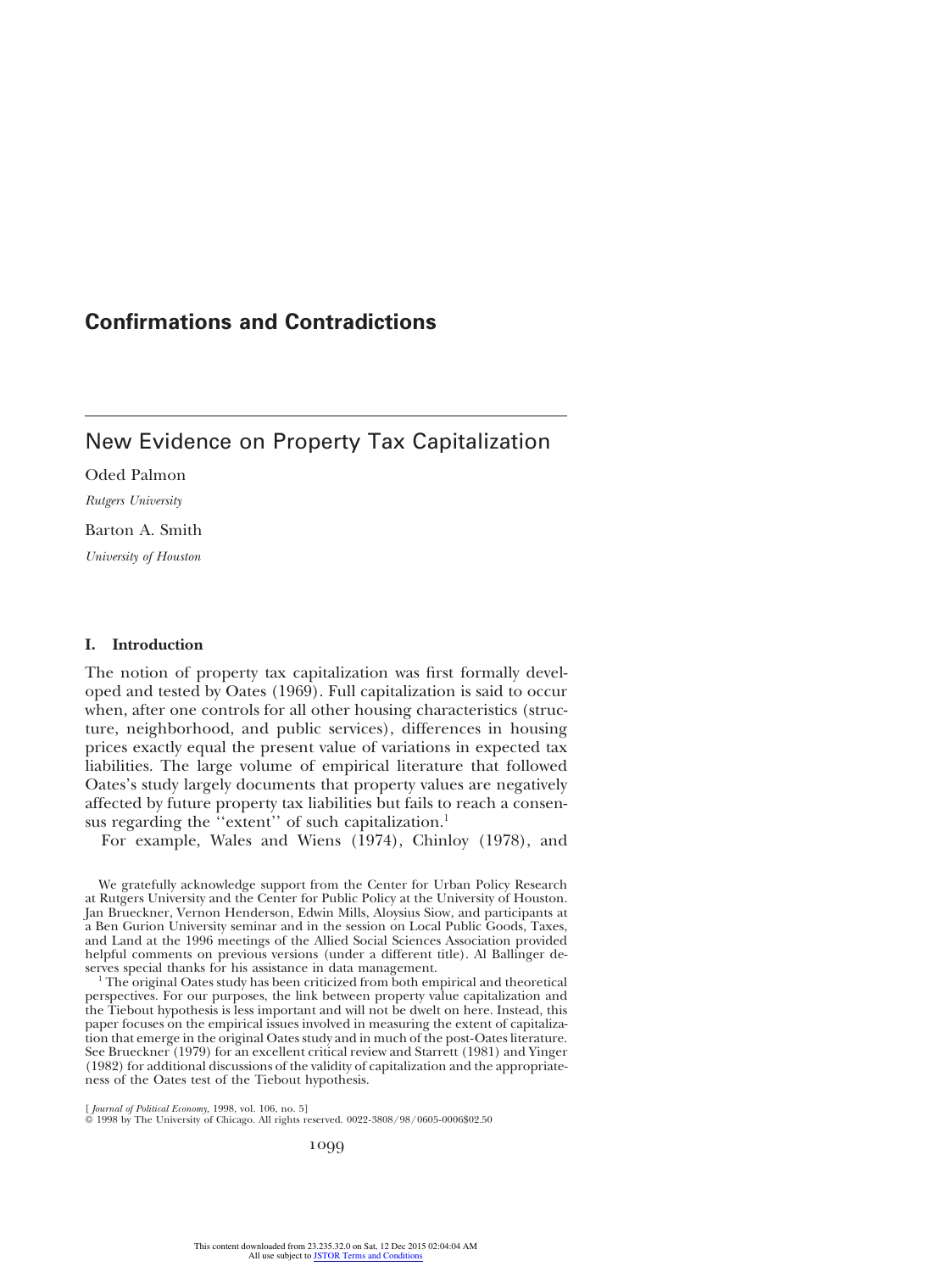# New Evidence on Property Tax Capitalization

Oded Palmon

*Rutgers University*

Barton A. Smith

*University of Houston*

# **I. Introduction**

The notion of property tax capitalization was first formally developed and tested by Oates (1969). Full capitalization is said to occur when, after one controls for all other housing characteristics (structure, neighborhood, and public services), differences in housing prices exactly equal the present value of variations in expected tax liabilities. The large volume of empirical literature that followed Oates's study largely documents that property values are negatively affected by future property tax liabilities but fails to reach a consensus regarding the "extent" of such capitalization.<sup>1</sup>

For example, Wales and Wiens (1974), Chinloy (1978), and

We gratefully acknowledge support from the Center for Urban Policy Research at Rutgers University and the Center for Public Policy at the University of Houston. Jan Brueckner, Vernon Henderson, Edwin Mills, Aloysius Siow, and participants at a Ben Gurion University seminar and in the session on Local Public Goods, Taxes, and Land at the 1996 meetings of the Allied Social Sciences Association provided helpful comments on previous versions (under a different title). Al Ballinger deserves special thanks for his assistance in data management.

<sup>1</sup> The original Oates study has been criticized from both empirical and theoretical perspectives. For our purposes, the link between property value capitalization and the Tiebout hypothesis is less important and will not be dwelt on here. Instead, this paper focuses on the empirical issues involved in measuring the extent of capitalization that emerge in the original Oates study and in much of the post-Oates literature. See Brueckner (1979) for an excellent critical review and Starrett (1981) and Yinger (1982) for additional discussions of the validity of capitalization and the appropriateness of the Oates test of the Tiebout hypothesis.

[ *Journal of Political Economy,* 1998, vol. 106, no. 5] 1998 by The University of Chicago. All rights reserved. 0022-3808/98/0605-0006\$02.50

1099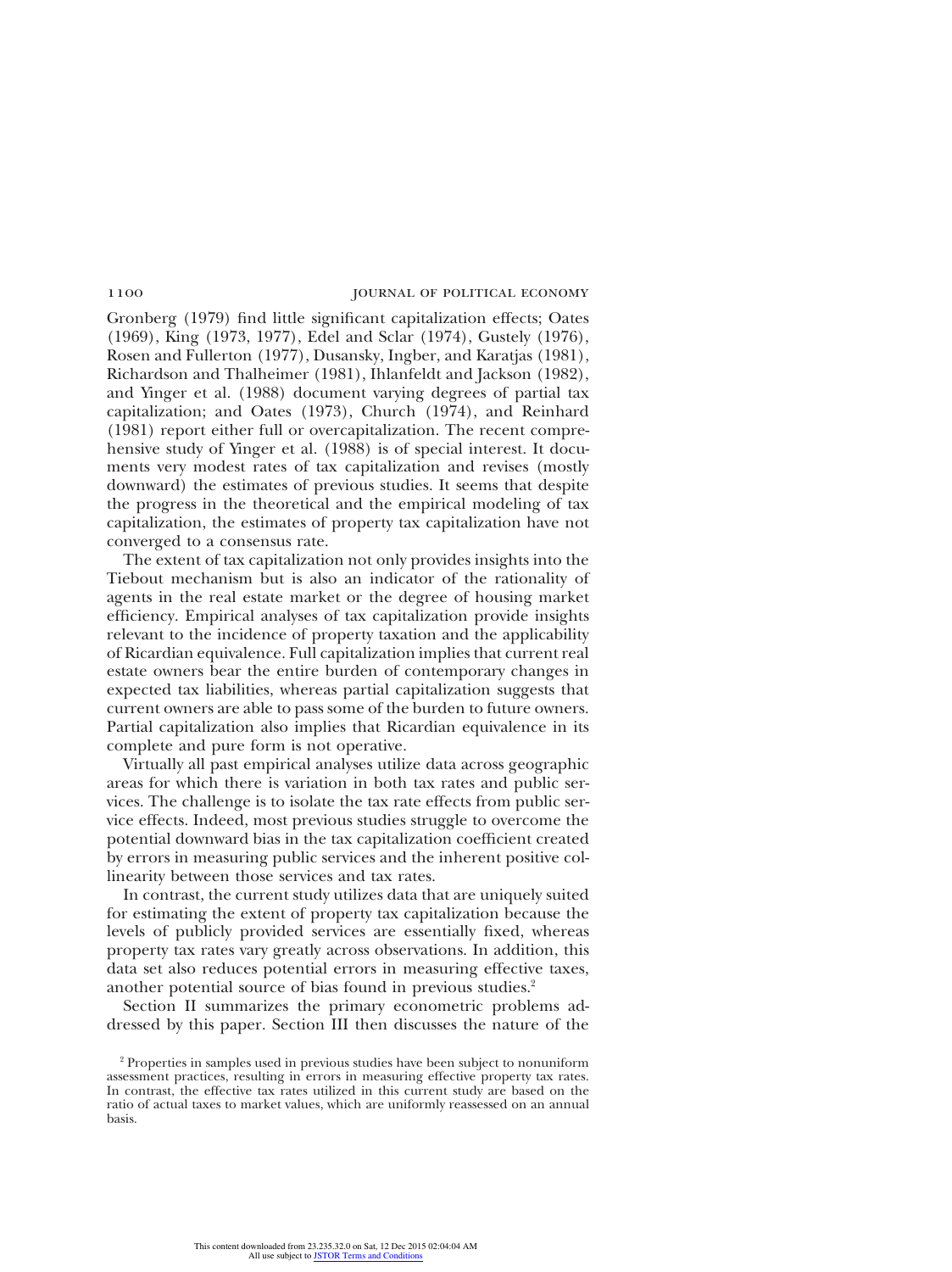Gronberg (1979) find little significant capitalization effects; Oates (1969), King (1973, 1977), Edel and Sclar (1974), Gustely (1976), Rosen and Fullerton (1977), Dusansky, Ingber, and Karatjas (1981), Richardson and Thalheimer (1981), Ihlanfeldt and Jackson (1982), and Yinger et al. (1988) document varying degrees of partial tax capitalization; and Oates (1973), Church (1974), and Reinhard (1981) report either full or overcapitalization. The recent comprehensive study of Yinger et al. (1988) is of special interest. It documents very modest rates of tax capitalization and revises (mostly downward) the estimates of previous studies. It seems that despite the progress in the theoretical and the empirical modeling of tax capitalization, the estimates of property tax capitalization have not converged to a consensus rate.

The extent of tax capitalization not only provides insights into the Tiebout mechanism but is also an indicator of the rationality of agents in the real estate market or the degree of housing market efficiency. Empirical analyses of tax capitalization provide insights relevant to the incidence of property taxation and the applicability of Ricardian equivalence. Full capitalization implies that current real estate owners bear the entire burden of contemporary changes in expected tax liabilities, whereas partial capitalization suggests that current owners are able to pass some of the burden to future owners. Partial capitalization also implies that Ricardian equivalence in its complete and pure form is not operative.

Virtually all past empirical analyses utilize data across geographic areas for which there is variation in both tax rates and public services. The challenge is to isolate the tax rate effects from public service effects. Indeed, most previous studies struggle to overcome the potential downward bias in the tax capitalization coefficient created by errors in measuring public services and the inherent positive collinearity between those services and tax rates.

In contrast, the current study utilizes data that are uniquely suited for estimating the extent of property tax capitalization because the levels of publicly provided services are essentially fixed, whereas property tax rates vary greatly across observations. In addition, this data set also reduces potential errors in measuring effective taxes, another potential source of bias found in previous studies.<sup>2</sup>

Section II summarizes the primary econometric problems addressed by this paper. Section III then discusses the nature of the

<sup>&</sup>lt;sup>2</sup> Properties in samples used in previous studies have been subject to nonuniform assessment practices, resulting in errors in measuring effective property tax rates. In contrast, the effective tax rates utilized in this current study are based on the ratio of actual taxes to market values, which are uniformly reassessed on an annual basis.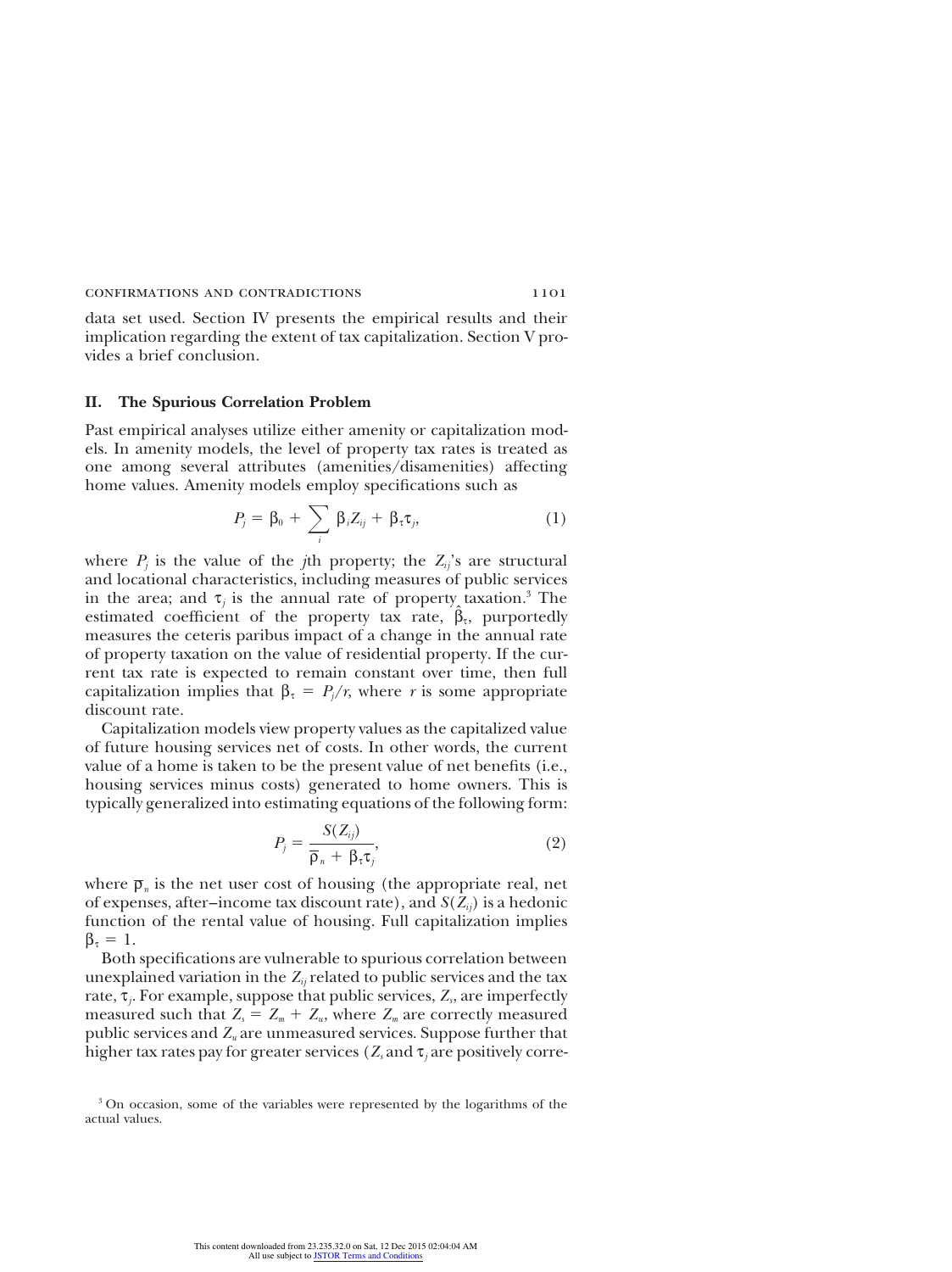data set used. Section IV presents the empirical results and their implication regarding the extent of tax capitalization. Section V provides a brief conclusion.

## **II. The Spurious Correlation Problem**

Past empirical analyses utilize either amenity or capitalization models. In amenity models, the level of property tax rates is treated as one among several attributes (amenities/disamenities) affecting home values. Amenity models employ specifications such as

$$
P_j = \beta_0 + \sum_i \beta_i Z_{ij} + \beta_{\tau} \tau_j, \qquad (1)
$$

where  $P_j$  is the value of the *j*th property; the  $Z_{ij}$ 's are structural and locational characteristics, including measures of public services in the area; and  $\tau_j$  is the annual rate of property taxation.<sup>3</sup> The estimated coefficient of the property tax rate,  $\hat{\beta}_t$ , purportedly measures the ceteris paribus impact of a change in the annual rate of property taxation on the value of residential property. If the current tax rate is expected to remain constant over time, then full capitalization implies that  $\beta_{\tau} = P_{j}/r$ , where *r* is some appropriate discount rate.

Capitalization models view property values as the capitalized value of future housing services net of costs. In other words, the current value of a home is taken to be the present value of net benefits (i.e., housing services minus costs) generated to home owners. This is typically generalized into estimating equations of the following form:

$$
P_j = \frac{S(Z_{ij})}{\overline{\rho}_n + \beta_{\tau}\tau_j},\tag{2}
$$

where  $\bar{\rho}_n$  is the net user cost of housing (the appropriate real, net of expenses, after–income tax discount rate), and  $S(Z_i)$  is a hedonic function of the rental value of housing. Full capitalization implies  $\beta_{\tau} = 1$ .

Both specifications are vulnerable to spurious correlation between unexplained variation in the  $Z_{ii}$  related to public services and the tax rate, τ*<sup>j</sup>* . For example, suppose that public services, *Z<sup>s</sup>* , are imperfectly measured such that  $Z_s = Z_m + Z_u$ , where  $Z_m$  are correctly measured public services and *Z<sup>u</sup>* are unmeasured services. Suppose further that higher tax rates pay for greater services ( $Z_s$  and  $\tau_i$  are positively corre-

<sup>&</sup>lt;sup>3</sup> On occasion, some of the variables were represented by the logarithms of the actual values.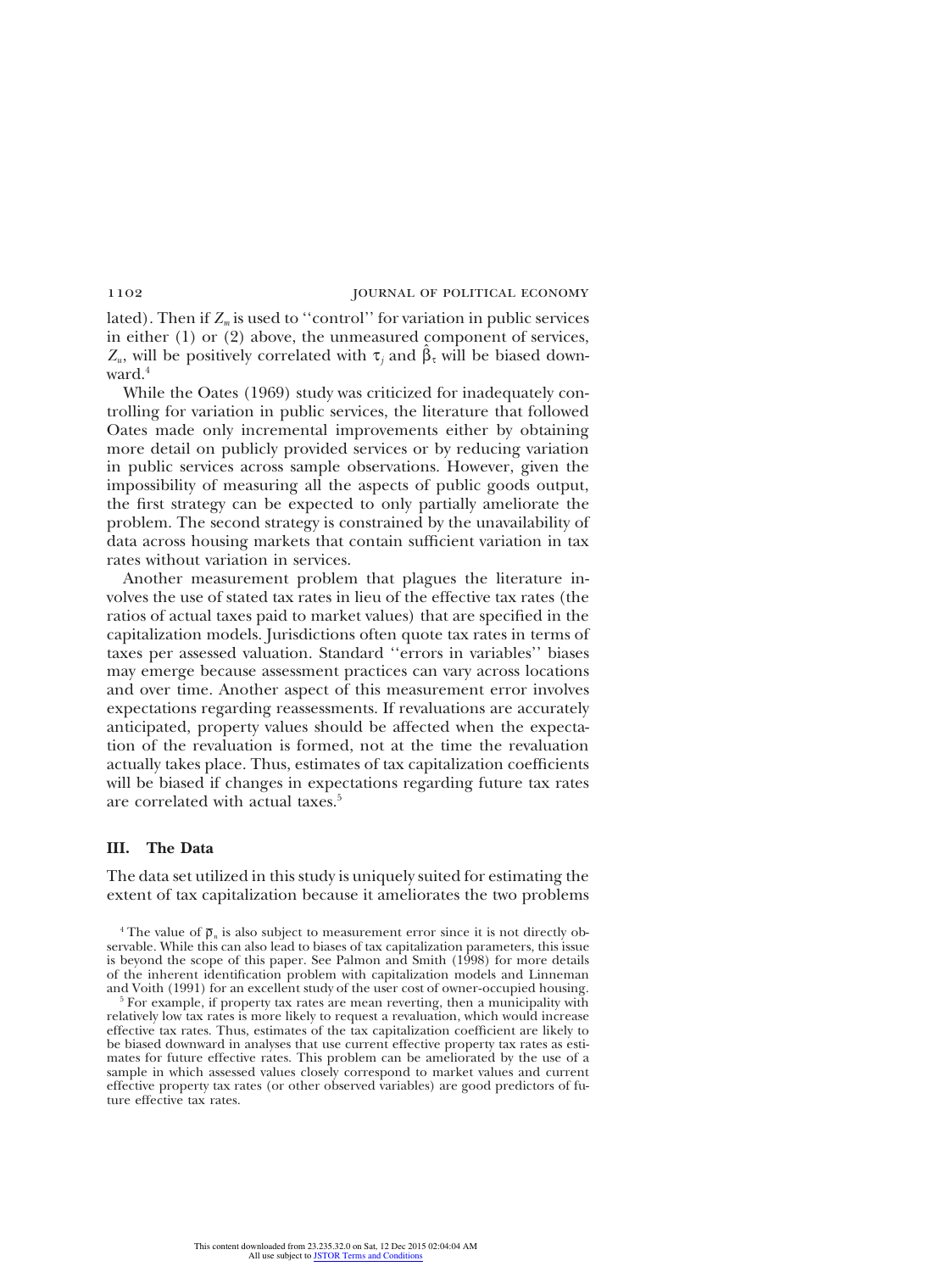lated). Then if  $Z_m$  is used to "control" for variation in public services in either (1) or (2) above, the unmeasured component of services, *Z*<sub>*u*</sub>, will be positively correlated with  $\tau_j$  and  $\hat{\beta}_{\tau}$  will be biased downward<sup>4</sup>

While the Oates (1969) study was criticized for inadequately controlling for variation in public services, the literature that followed Oates made only incremental improvements either by obtaining more detail on publicly provided services or by reducing variation in public services across sample observations. However, given the impossibility of measuring all the aspects of public goods output, the first strategy can be expected to only partially ameliorate the problem. The second strategy is constrained by the unavailability of data across housing markets that contain sufficient variation in tax rates without variation in services.

Another measurement problem that plagues the literature involves the use of stated tax rates in lieu of the effective tax rates (the ratios of actual taxes paid to market values) that are specified in the capitalization models. Jurisdictions often quote tax rates in terms of taxes per assessed valuation. Standard ''errors in variables'' biases may emerge because assessment practices can vary across locations and over time. Another aspect of this measurement error involves expectations regarding reassessments. If revaluations are accurately anticipated, property values should be affected when the expectation of the revaluation is formed, not at the time the revaluation actually takes place. Thus, estimates of tax capitalization coefficients will be biased if changes in expectations regarding future tax rates are correlated with actual taxes.<sup>5</sup>

# **III. The Data**

The data set utilized in this study is uniquely suited for estimating the extent of tax capitalization because it ameliorates the two problems

<sup>4</sup> The value of  $\bar{\rho}_n$  is also subject to measurement error since it is not directly observable. While this can also lead to biases of tax capitalization parameters, this issue is beyond the scope of this paper. See Palmon and Smith (1998) for more details of the inherent identification problem with capitalization models and Linneman and Voith (1991) for an excellent study of the user cost of owner-occupied housing.

 $5$  For example, if property tax rates are mean reverting, then a municipality with relatively low tax rates is more likely to request a revaluation, which would increase effective tax rates. Thus, estimates of the tax capitalization coefficient are likely to be biased downward in analyses that use current effective property tax rates as estimates for future effective rates. This problem can be ameliorated by the use of a sample in which assessed values closely correspond to market values and current effective property tax rates (or other observed variables) are good predictors of future effective tax rates.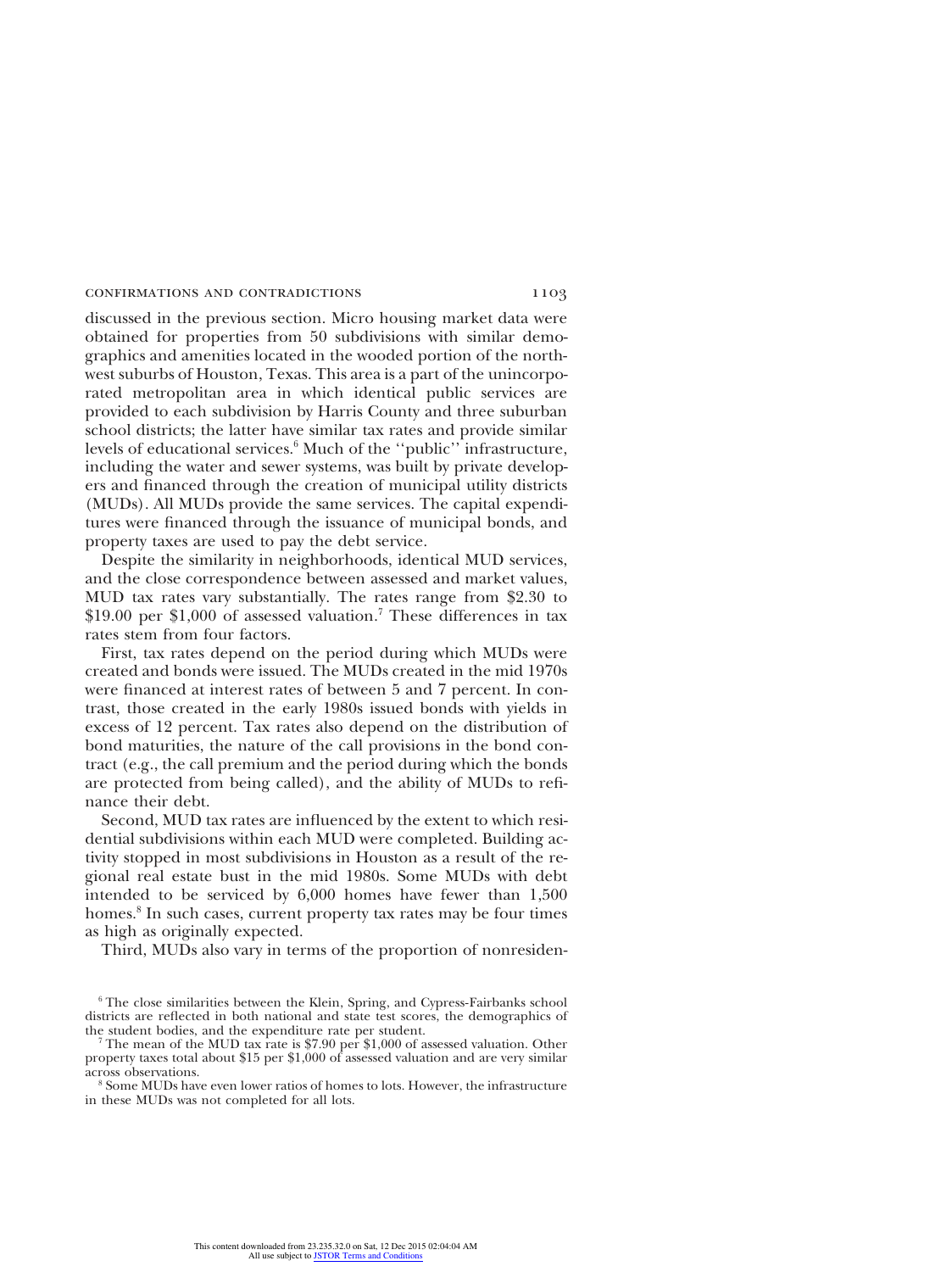discussed in the previous section. Micro housing market data were obtained for properties from 50 subdivisions with similar demographics and amenities located in the wooded portion of the northwest suburbs of Houston, Texas. This area is a part of the unincorporated metropolitan area in which identical public services are provided to each subdivision by Harris County and three suburban school districts; the latter have similar tax rates and provide similar levels of educational services.<sup>6</sup> Much of the "public" infrastructure, including the water and sewer systems, was built by private developers and financed through the creation of municipal utility districts (MUDs). All MUDs provide the same services. The capital expenditures were financed through the issuance of municipal bonds, and property taxes are used to pay the debt service.

Despite the similarity in neighborhoods, identical MUD services, and the close correspondence between assessed and market values, MUD tax rates vary substantially. The rates range from \$2.30 to  $$19.00$  per \$1,000 of assessed valuation.<sup>7</sup> These differences in tax rates stem from four factors.

First, tax rates depend on the period during which MUDs were created and bonds were issued. The MUDs created in the mid 1970s were financed at interest rates of between 5 and 7 percent. In contrast, those created in the early 1980s issued bonds with yields in excess of 12 percent. Tax rates also depend on the distribution of bond maturities, the nature of the call provisions in the bond contract (e.g., the call premium and the period during which the bonds are protected from being called), and the ability of MUDs to refinance their debt.

Second, MUD tax rates are influenced by the extent to which residential subdivisions within each MUD were completed. Building activity stopped in most subdivisions in Houston as a result of the regional real estate bust in the mid 1980s. Some MUDs with debt intended to be serviced by 6,000 homes have fewer than 1,500 homes.<sup>8</sup> In such cases, current property tax rates may be four times as high as originally expected.

Third, MUDs also vary in terms of the proportion of nonresiden-

<sup>8</sup> Some MUDs have even lower ratios of homes to lots. However, the infrastructure in these MUDs was not completed for all lots.

 $6$  The close similarities between the Klein, Spring, and Cypress-Fairbanks school districts are reflected in both national and state test scores, the demographics of the student bodies, and the expenditure rate per student.

<sup>&</sup>lt;sup>7</sup> The mean of the MUD tax rate is \$7.90 per \$1,000 of assessed valuation. Other property taxes total about \$15 per \$1,000 of assessed valuation and are very similar across observations.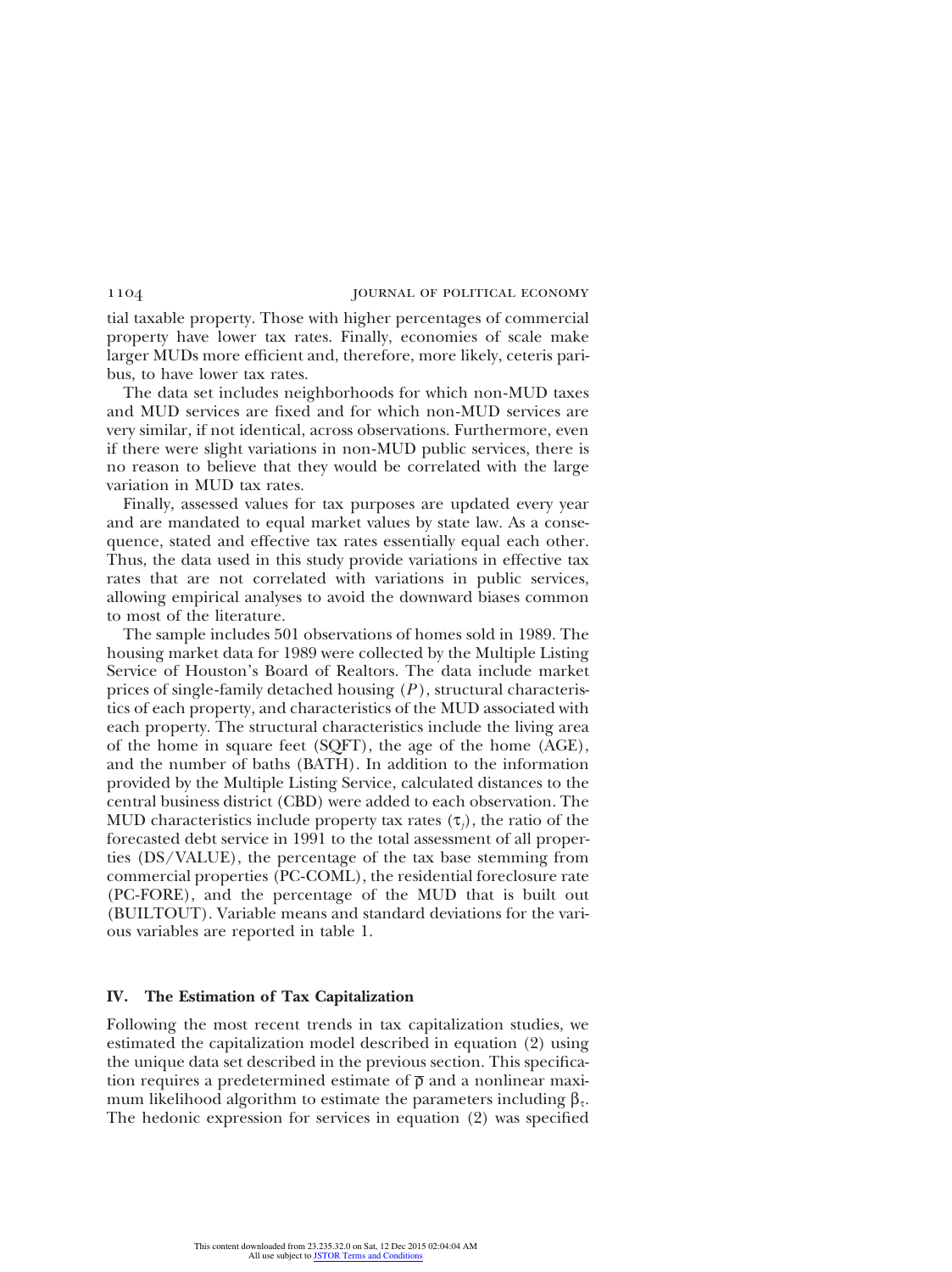tial taxable property. Those with higher percentages of commercial property have lower tax rates. Finally, economies of scale make larger MUDs more efficient and, therefore, more likely, ceteris paribus, to have lower tax rates.

The data set includes neighborhoods for which non-MUD taxes and MUD services are fixed and for which non-MUD services are very similar, if not identical, across observations. Furthermore, even if there were slight variations in non-MUD public services, there is no reason to believe that they would be correlated with the large variation in MUD tax rates.

Finally, assessed values for tax purposes are updated every year and are mandated to equal market values by state law. As a consequence, stated and effective tax rates essentially equal each other. Thus, the data used in this study provide variations in effective tax rates that are not correlated with variations in public services, allowing empirical analyses to avoid the downward biases common to most of the literature.

The sample includes 501 observations of homes sold in 1989. The housing market data for 1989 were collected by the Multiple Listing Service of Houston's Board of Realtors. The data include market prices of single-family detached housing (*P* ), structural characteristics of each property, and characteristics of the MUD associated with each property. The structural characteristics include the living area of the home in square feet (SQFT), the age of the home (AGE), and the number of baths (BATH). In addition to the information provided by the Multiple Listing Service, calculated distances to the central business district (CBD) were added to each observation. The MUD characteristics include property tax rates  $(\tau_i)$ , the ratio of the forecasted debt service in 1991 to the total assessment of all properties (DS/VALUE), the percentage of the tax base stemming from commercial properties (PC-COML), the residential foreclosure rate (PC-FORE), and the percentage of the MUD that is built out (BUILTOUT). Variable means and standard deviations for the various variables are reported in table 1.

### **IV. The Estimation of Tax Capitalization**

Following the most recent trends in tax capitalization studies, we estimated the capitalization model described in equation (2) using the unique data set described in the previous section. This specification requires a predetermined estimate of  $\bar{\rho}$  and a nonlinear maximum likelihood algorithm to estimate the parameters including  $\beta_\tau$ . The hedonic expression for services in equation (2) was specified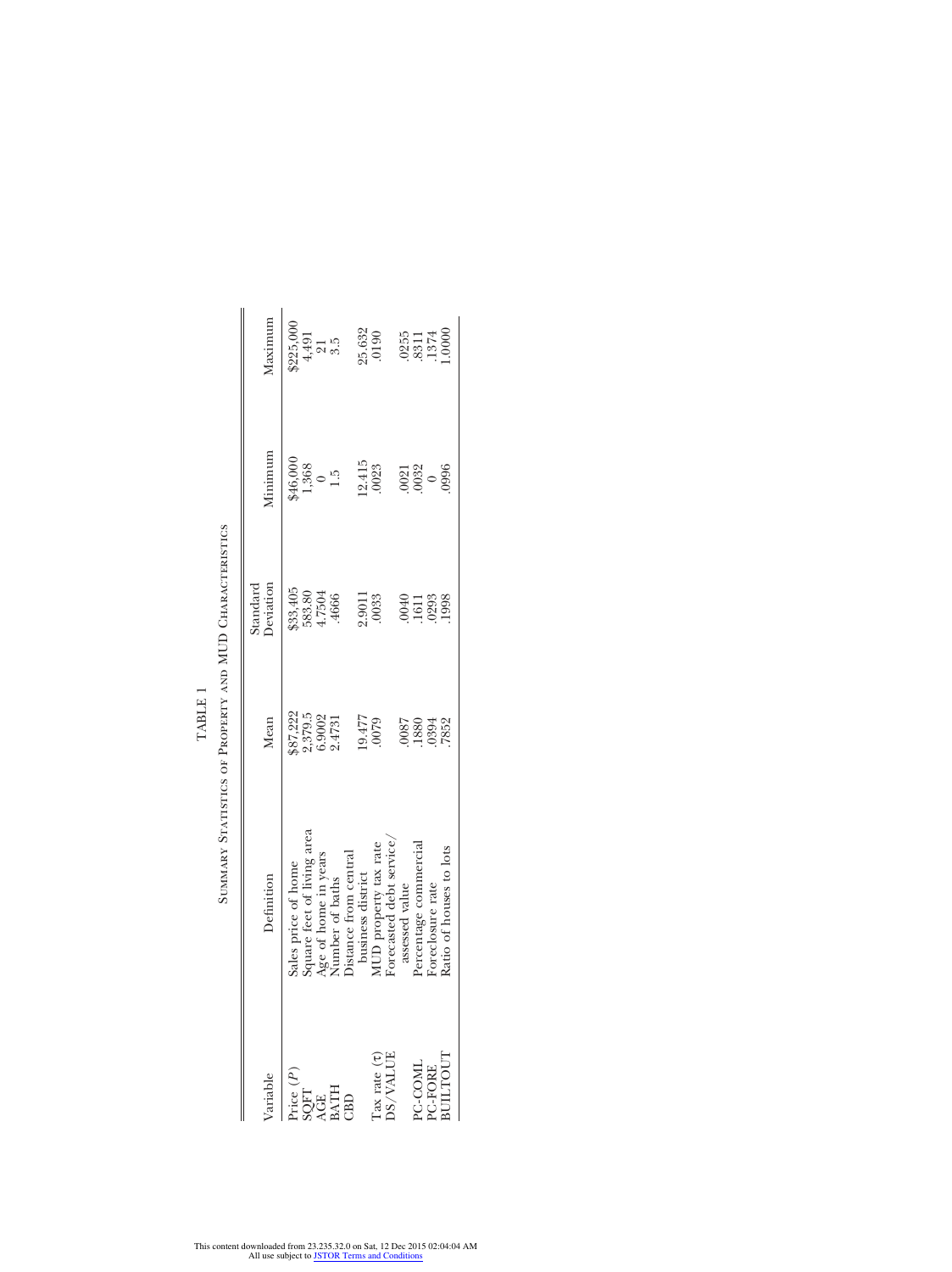| ariable                                                                                                             | Definition                           | Mean                                    | Standard<br>Deviation        | $M$ inimum                          | Maximum                                         |
|---------------------------------------------------------------------------------------------------------------------|--------------------------------------|-----------------------------------------|------------------------------|-------------------------------------|-------------------------------------------------|
| $\begin{array}{l} \text{lice } (P)\\ \text{SQFT}\\ \text{AGE}\\ \text{BATH}\\ \text{BATH}\\ \text{CBD} \end{array}$ | Sales price of home                  |                                         |                              |                                     |                                                 |
|                                                                                                                     | square feet of living area           | \$87,222<br>2,379.5<br>6.9002<br>2.4731 | \$33,405<br>583.80<br>4.7504 | $46,000$<br>$1,368$<br>$0$<br>$1.5$ | \$225,000<br>4,491<br>21<br>3.5                 |
|                                                                                                                     | Age of home in years                 |                                         |                              |                                     |                                                 |
|                                                                                                                     | Jumber of baths                      |                                         | 4666                         |                                     |                                                 |
|                                                                                                                     | Distance from central                |                                         |                              |                                     |                                                 |
|                                                                                                                     | business district                    |                                         |                              |                                     |                                                 |
| $\begin{array}{l} \text{Tax rate } \left( \tau \right) \\ \text{DS}/\text{VALUE} \end{array}$                       | MUD property tax rate                | 6425<br>LLF 61                          | 2.9011<br>.0033              | $\frac{12.415}{0023}$               | 25.632<br>.0190                                 |
|                                                                                                                     | <sup>7</sup> orecasted debt service. |                                         |                              |                                     |                                                 |
|                                                                                                                     | assessed value                       | 7800                                    |                              |                                     |                                                 |
|                                                                                                                     | Percentage commercial                | 1880                                    | 911388<br>0151388<br>01001   | $\frac{0021}{0032}$                 | $0255$<br>$8311$<br>$1374$<br>$1374$<br>$10000$ |
|                                                                                                                     | Foreclosure rate                     | 0394<br>7852                            |                              |                                     |                                                 |
| PC-COML<br>PC-FORE<br>BULTOUT                                                                                       | Ratio of houses to lots              |                                         |                              | 0996                                |                                                 |
|                                                                                                                     |                                      |                                         |                              |                                     |                                                 |

SUMMARY STATISTICS OF PROPERTY AND MUD CHARACTERISTICS Summary Statistics of Property and MUD Characteristics TABLE 1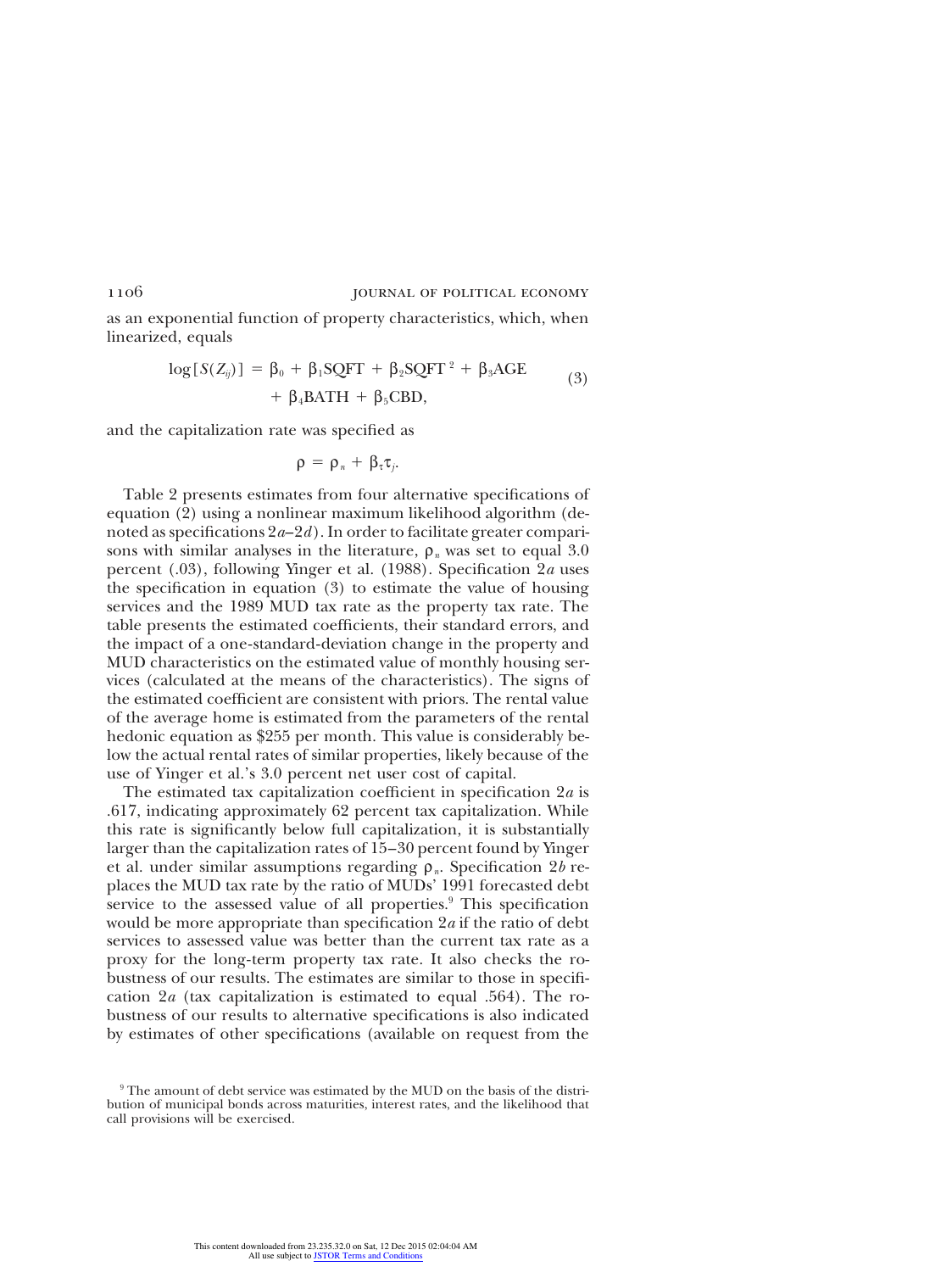as an exponential function of property characteristics, which, when linearized, equals

$$
log[S(Z_{ij})] = \beta_0 + \beta_1 SQFT + \beta_2 SQFT^2 + \beta_3AGE
$$
  
+  $\beta_4 BATH + \beta_5 CBD,$  (3)

and the capitalization rate was specified as

$$
\rho\,=\,\rho_{\,\imath}\,+\,\beta_{\tau}\tau_{\jmath}.
$$

Table 2 presents estimates from four alternative specifications of equation (2) using a nonlinear maximum likelihood algorithm (denoted as specifications 2*a*–2*d*). In order to facilitate greater comparisons with similar analyses in the literature,  $\rho_n$  was set to equal 3.0 percent (.03), following Yinger et al. (1988). Specification 2*a* uses the specification in equation (3) to estimate the value of housing services and the 1989 MUD tax rate as the property tax rate. The table presents the estimated coefficients, their standard errors, and the impact of a one-standard-deviation change in the property and MUD characteristics on the estimated value of monthly housing services (calculated at the means of the characteristics). The signs of the estimated coefficient are consistent with priors. The rental value of the average home is estimated from the parameters of the rental hedonic equation as \$255 per month. This value is considerably below the actual rental rates of similar properties, likely because of the use of Yinger et al.'s 3.0 percent net user cost of capital.

The estimated tax capitalization coefficient in specification 2*a* is .617, indicating approximately 62 percent tax capitalization. While this rate is significantly below full capitalization, it is substantially larger than the capitalization rates of 15–30 percent found by Yinger et al. under similar assumptions regarding ρ*n*. Specification 2*b* replaces the MUD tax rate by the ratio of MUDs' 1991 forecasted debt service to the assessed value of all properties.<sup>9</sup> This specification would be more appropriate than specification 2*a* if the ratio of debt services to assessed value was better than the current tax rate as a proxy for the long-term property tax rate. It also checks the robustness of our results. The estimates are similar to those in specification 2*a* (tax capitalization is estimated to equal .564). The robustness of our results to alternative specifications is also indicated by estimates of other specifications (available on request from the

<sup>&</sup>lt;sup>9</sup> The amount of debt service was estimated by the MUD on the basis of the distribution of municipal bonds across maturities, interest rates, and the likelihood that call provisions will be exercised.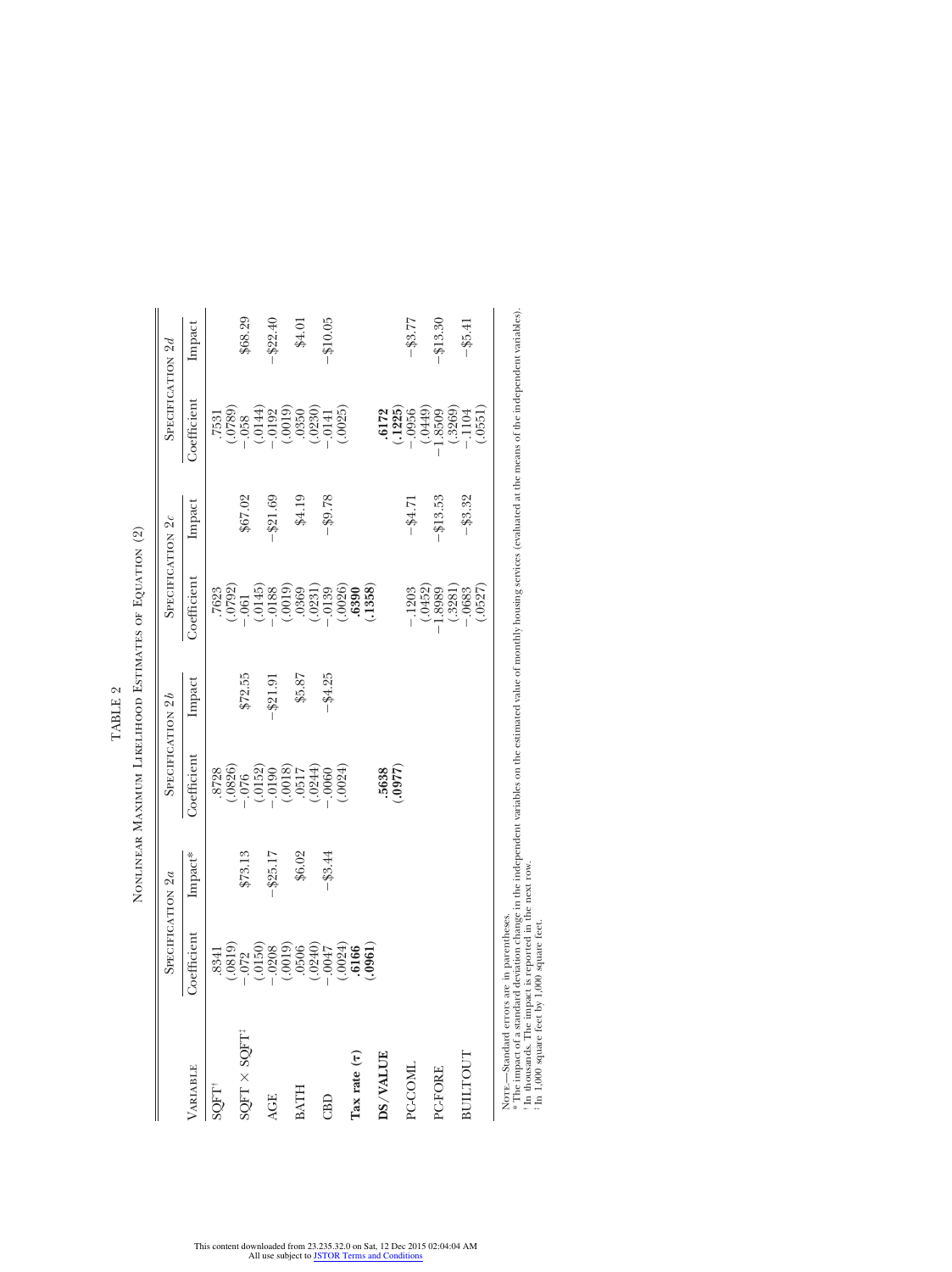|                          | SPECIFICATION 2a                                                                                                                                                                                                                                                                                                                                       |         | SPECIFICATION 26                                                                                                                 |             | SPECIFICATION 20                                                                                                                                                                                                                                                                                                                                  |             | SPECIFICATION 2d                                                                                                                                                                                                                                                                                                                                  |             |
|--------------------------|--------------------------------------------------------------------------------------------------------------------------------------------------------------------------------------------------------------------------------------------------------------------------------------------------------------------------------------------------------|---------|----------------------------------------------------------------------------------------------------------------------------------|-------------|---------------------------------------------------------------------------------------------------------------------------------------------------------------------------------------------------------------------------------------------------------------------------------------------------------------------------------------------------|-------------|---------------------------------------------------------------------------------------------------------------------------------------------------------------------------------------------------------------------------------------------------------------------------------------------------------------------------------------------------|-------------|
| VARIABLE                 | Coefficient                                                                                                                                                                                                                                                                                                                                            | Impact* | Coefficient                                                                                                                      | Impact      | Coefficient                                                                                                                                                                                                                                                                                                                                       | Impact      | Coefficient                                                                                                                                                                                                                                                                                                                                       | Impact      |
| SQFT <sup>+</sup>        |                                                                                                                                                                                                                                                                                                                                                        |         |                                                                                                                                  |             |                                                                                                                                                                                                                                                                                                                                                   |             |                                                                                                                                                                                                                                                                                                                                                   |             |
| SQFT × SQFT <sup>+</sup> |                                                                                                                                                                                                                                                                                                                                                        | \$73.13 |                                                                                                                                  | \$72.55     |                                                                                                                                                                                                                                                                                                                                                   | \$67.02     |                                                                                                                                                                                                                                                                                                                                                   | \$68.29     |
| <b>AGE</b>               |                                                                                                                                                                                                                                                                                                                                                        | \$25.17 |                                                                                                                                  | $-$ \$21.91 |                                                                                                                                                                                                                                                                                                                                                   | \$21.69     |                                                                                                                                                                                                                                                                                                                                                   | $-$ \$22.40 |
| <b>BATH</b>              |                                                                                                                                                                                                                                                                                                                                                        | \$6.02  |                                                                                                                                  | \$5.87      |                                                                                                                                                                                                                                                                                                                                                   | \$4.19      |                                                                                                                                                                                                                                                                                                                                                   | \$4.01      |
| CBD                      | $(\begin{smallmatrix} . & 3341 \\ . & 025 \\ . & 0150 \\ . & 0150 \\ . & 0150 \\ . & 0150 \\ . & 0019 \\ . & 0000 \\ . & 0019 \\ . & 0000 \\ . & 0019 \\ . & 0000 \\ . & 0019 \\ . & 0000 \\ . & 0019 \\ . & 0000 \\ . & 0000 \\ . & 0000 \\ . & 0000 \\ . & 0000 \\ . & 0000 \\ . & 0000 \\ . & 0000 \\ . & 0000 \\ . & 0000 \\ . & 0000 \\ . & 0000$ | \$3.44  | $\begin{array}{r} .8728 \\ .0826) \\ .076 \\ .0152) \\ .0150 \\ .0150 \\ .0180 \\ .0181 \\ .0000 \\ .0000 \\ .0024) \end{array}$ | \$4.25      | $\begin{array}{l} .7623 \\ .7623 \\ .0792 \\ .061 \\ .0145 \\ .0145 \\ .0193 \\ .0369 \\ .0231 \\ .0360 \\ .0230 \\ .0300 \\ .0300 \\ .0300 \\ .0300 \\ .0300 \\ .0390 \\ .0390 \\ .0380 \\ .0390 \\ .0390 \\ .0390 \\ .0390 \\ .0390 \\ .0390 \\ .0390 \\ .0390 \\ .0390 \\ .0390 \\ .0390 \\ .0390 \\ .0390 \\ .0390 \\ .0390 \\ .0390 \\ .039$ | \$9.78      | $\begin{array}{l} .7531 \\ .7531 \\ .0789 \\ .0144 \\ .0149 \\ .0192 \\ .0193 \\ .0195 \\ .0190 \\ .0190 \\ .0141 \\ .0141 \\ .0141 \\ .0141 \\ .0141 \\ .0141 \\ .0141 \\ .0141 \\ .0141 \\ .0141 \\ .0141 \\ .0141 \\ .0141 \\ .0141 \\ .0141 \\ .0141 \\ .0141 \\ .0141 \\ .0141 \\ .0141 \\ .0141 \\ .0141 \\ .0141 \\ .0141 \\ .0141 \\ .01$ | \$10.05     |
| Tax rate $(\tau)$        |                                                                                                                                                                                                                                                                                                                                                        |         |                                                                                                                                  |             |                                                                                                                                                                                                                                                                                                                                                   |             |                                                                                                                                                                                                                                                                                                                                                   |             |
| DS/VALUE                 |                                                                                                                                                                                                                                                                                                                                                        |         | (0.5638)                                                                                                                         |             |                                                                                                                                                                                                                                                                                                                                                   |             |                                                                                                                                                                                                                                                                                                                                                   |             |
| PC-COML                  |                                                                                                                                                                                                                                                                                                                                                        |         |                                                                                                                                  |             |                                                                                                                                                                                                                                                                                                                                                   | $-1.14 - 1$ |                                                                                                                                                                                                                                                                                                                                                   | $-$ \$3.77  |
| PC-FORE                  |                                                                                                                                                                                                                                                                                                                                                        |         |                                                                                                                                  |             |                                                                                                                                                                                                                                                                                                                                                   | \$13.53     |                                                                                                                                                                                                                                                                                                                                                   | $+13.30$    |
| BUILTOUT                 |                                                                                                                                                                                                                                                                                                                                                        |         |                                                                                                                                  |             | $\begin{array}{r} -1203 \\ -1252 \\ -0452 \\ 1.8989 \\ -0683 \\ -0683 \\ -0.0527 \end{array}$                                                                                                                                                                                                                                                     | $-$ \$3.32  | $\begin{array}{r} \textbf{.6172} \\ \textbf{.1225} \\ \textbf{.1956} \\ \textbf{.0449} \\ \textbf{.8509} \\ \textbf{.3269} \\ \textbf{.18509} \\ \textbf{.1044} \\ \textbf{.2269} \\ \textbf{.3269} \\ \textbf{.4104} \end{array}$                                                                                                                | $-45.41$    |
| Norry - Standard errors  | are in narentheses                                                                                                                                                                                                                                                                                                                                     |         |                                                                                                                                  |             |                                                                                                                                                                                                                                                                                                                                                   |             |                                                                                                                                                                                                                                                                                                                                                   |             |

NONLINEAR MAXIMUM LIKELIHOOD ESTIMATES OF EQUATION (2) Nonlinear Maximum Likelihood Estimates of Equation (2)

TABLE 2

Nore.—Standard errors are in parentheses.

\* The impact of a standard deviation change in the independent variables on the estimated value of monthly housing services (evaluated at the means of the independent variables). †‡<sup>t</sup> In thousands. The impact is reported in the next row.

In 1,000 square feet by 1,000 square feet.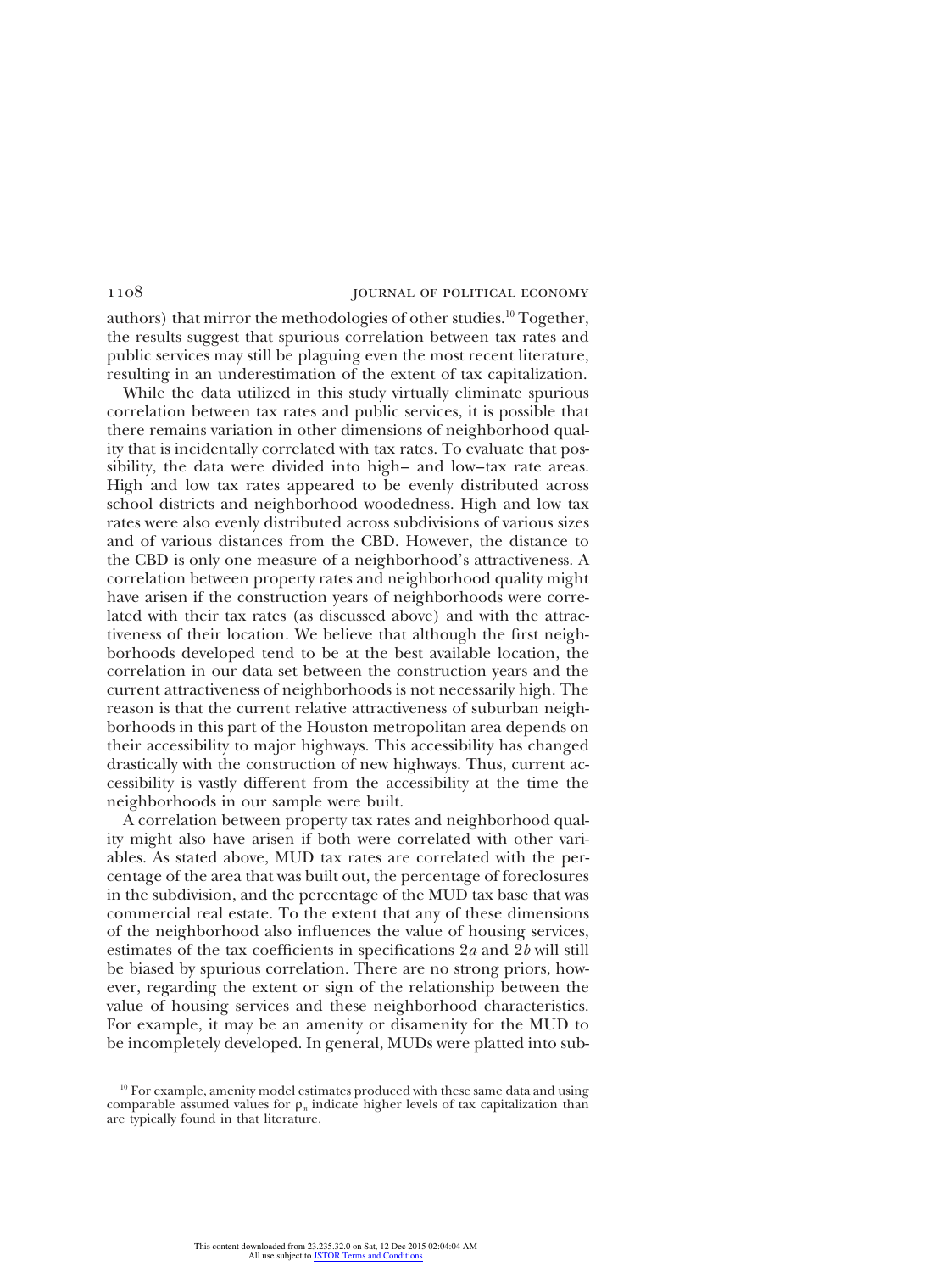authors) that mirror the methodologies of other studies.<sup>10</sup> Together, the results suggest that spurious correlation between tax rates and public services may still be plaguing even the most recent literature, resulting in an underestimation of the extent of tax capitalization.

While the data utilized in this study virtually eliminate spurious correlation between tax rates and public services, it is possible that there remains variation in other dimensions of neighborhood quality that is incidentally correlated with tax rates. To evaluate that possibility, the data were divided into high– and low–tax rate areas. High and low tax rates appeared to be evenly distributed across school districts and neighborhood woodedness. High and low tax rates were also evenly distributed across subdivisions of various sizes and of various distances from the CBD. However, the distance to the CBD is only one measure of a neighborhood's attractiveness. A correlation between property rates and neighborhood quality might have arisen if the construction years of neighborhoods were correlated with their tax rates (as discussed above) and with the attractiveness of their location. We believe that although the first neighborhoods developed tend to be at the best available location, the correlation in our data set between the construction years and the current attractiveness of neighborhoods is not necessarily high. The reason is that the current relative attractiveness of suburban neighborhoods in this part of the Houston metropolitan area depends on their accessibility to major highways. This accessibility has changed drastically with the construction of new highways. Thus, current accessibility is vastly different from the accessibility at the time the neighborhoods in our sample were built.

A correlation between property tax rates and neighborhood quality might also have arisen if both were correlated with other variables. As stated above, MUD tax rates are correlated with the percentage of the area that was built out, the percentage of foreclosures in the subdivision, and the percentage of the MUD tax base that was commercial real estate. To the extent that any of these dimensions of the neighborhood also influences the value of housing services, estimates of the tax coefficients in specifications 2*a* and 2*b* will still be biased by spurious correlation. There are no strong priors, however, regarding the extent or sign of the relationship between the value of housing services and these neighborhood characteristics. For example, it may be an amenity or disamenity for the MUD to be incompletely developed. In general, MUDs were platted into sub-

<sup>&</sup>lt;sup>10</sup> For example, amenity model estimates produced with these same data and using comparable assumed values for  $\rho_n$  indicate higher levels of tax capitalization than are typically found in that literature.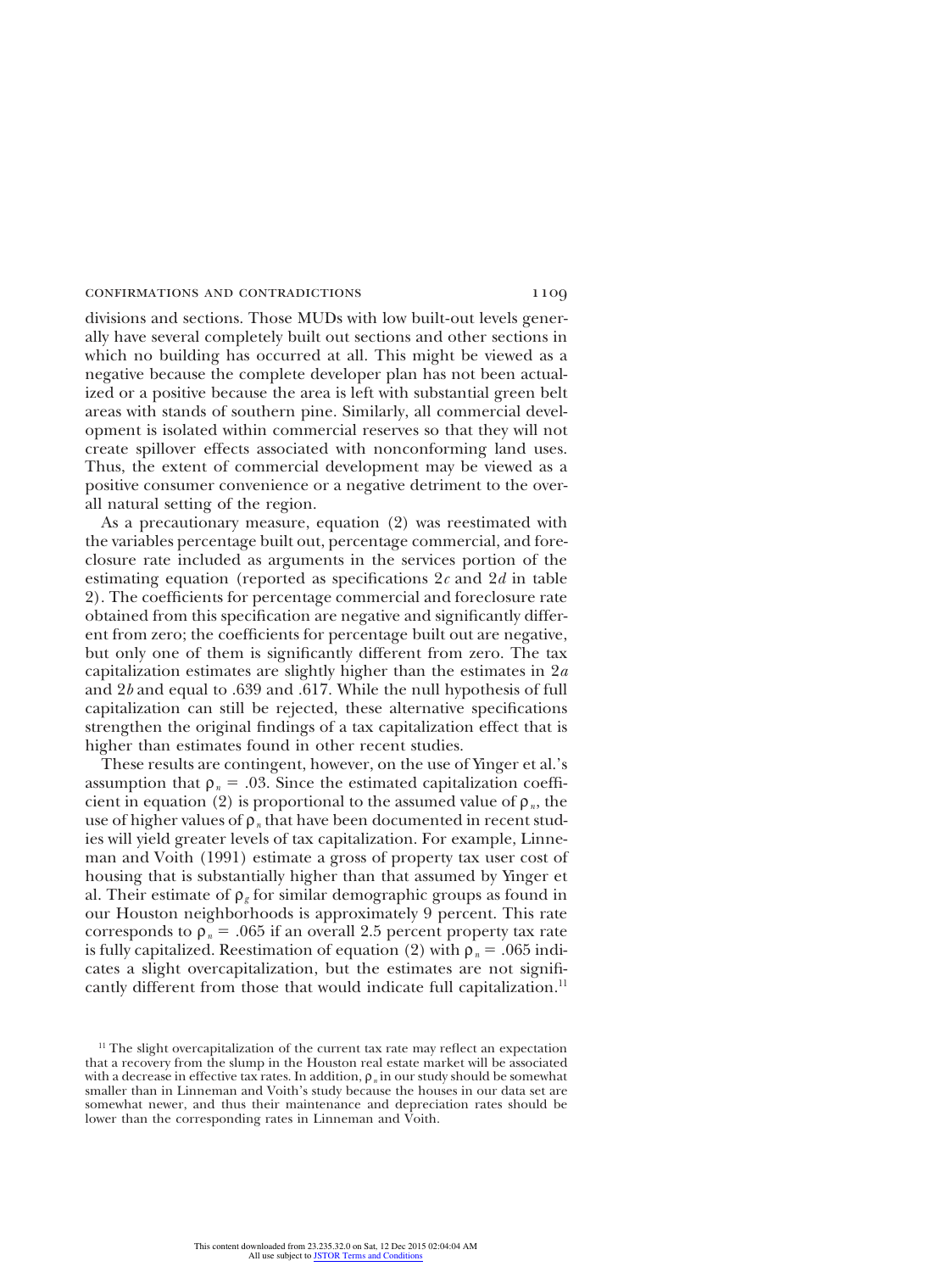divisions and sections. Those MUDs with low built-out levels generally have several completely built out sections and other sections in which no building has occurred at all. This might be viewed as a negative because the complete developer plan has not been actualized or a positive because the area is left with substantial green belt areas with stands of southern pine. Similarly, all commercial development is isolated within commercial reserves so that they will not create spillover effects associated with nonconforming land uses. Thus, the extent of commercial development may be viewed as a positive consumer convenience or a negative detriment to the overall natural setting of the region.

As a precautionary measure, equation (2) was reestimated with the variables percentage built out, percentage commercial, and foreclosure rate included as arguments in the services portion of the estimating equation (reported as specifications 2*c* and 2*d* in table 2). The coefficients for percentage commercial and foreclosure rate obtained from this specification are negative and significantly different from zero; the coefficients for percentage built out are negative, but only one of them is significantly different from zero. The tax capitalization estimates are slightly higher than the estimates in 2*a* and 2*b* and equal to .639 and .617. While the null hypothesis of full capitalization can still be rejected, these alternative specifications strengthen the original findings of a tax capitalization effect that is higher than estimates found in other recent studies.

These results are contingent, however, on the use of Yinger et al.'s assumption that  $\rho_n = .03$ . Since the estimated capitalization coefficient in equation (2) is proportional to the assumed value of  $\rho_n$ , the use of higher values of  $\rho_n$  that have been documented in recent studies will yield greater levels of tax capitalization. For example, Linneman and Voith (1991) estimate a gross of property tax user cost of housing that is substantially higher than that assumed by Yinger et al. Their estimate of  $\rho_g$  for similar demographic groups as found in our Houston neighborhoods is approximately 9 percent. This rate corresponds to  $\rho_n = .065$  if an overall 2.5 percent property tax rate is fully capitalized. Reestimation of equation (2) with  $\rho_n = .065$  indicates a slight overcapitalization, but the estimates are not significantly different from those that would indicate full capitalization.<sup>11</sup>

 $11$  The slight overcapitalization of the current tax rate may reflect an expectation that a recovery from the slump in the Houston real estate market will be associated with a decrease in effective tax rates. In addition,  $\rho_n$  in our study should be somewhat smaller than in Linneman and Voith's study because the houses in our data set are somewhat newer, and thus their maintenance and depreciation rates should be lower than the corresponding rates in Linneman and Voith.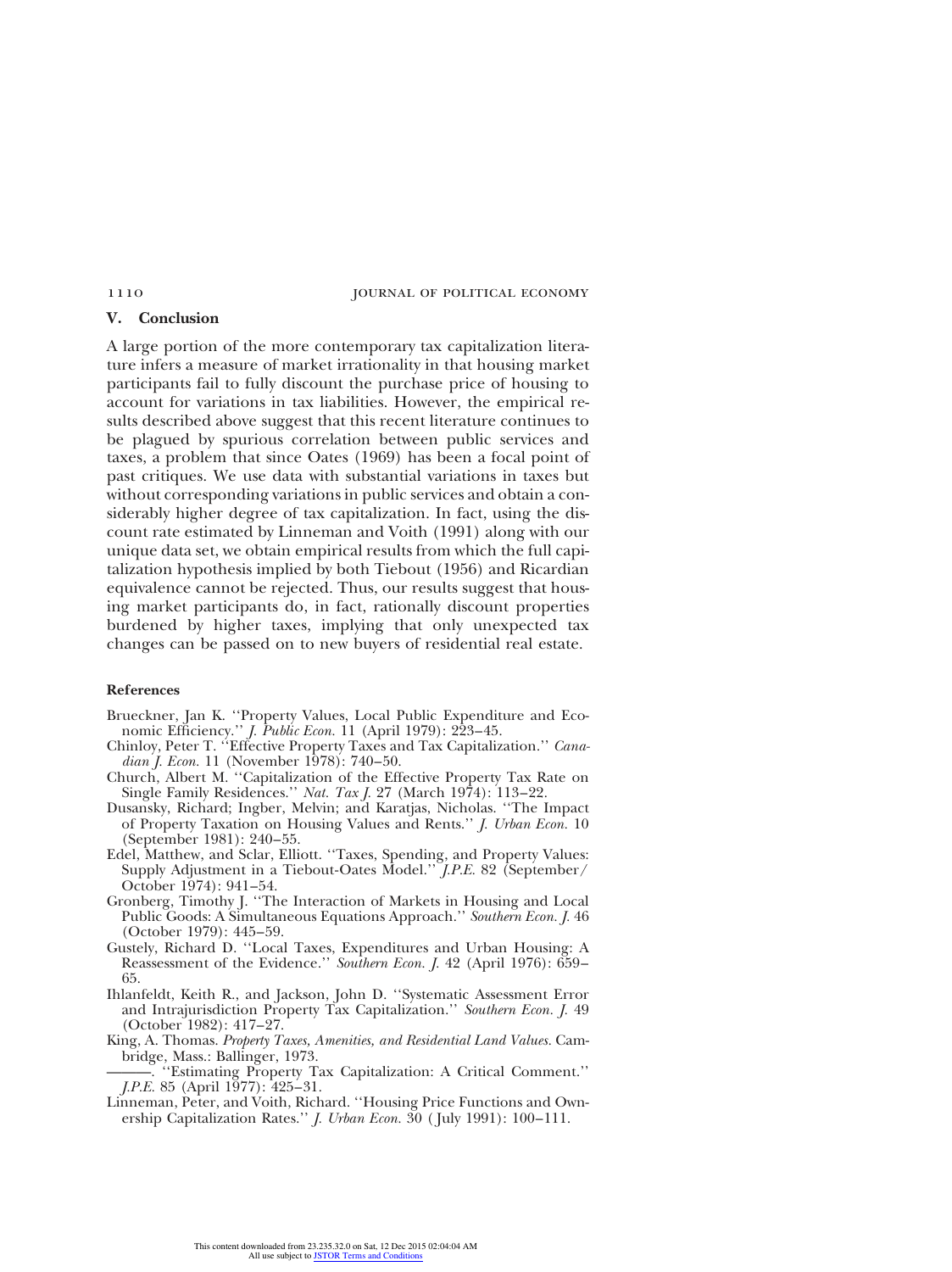# **V. Conclusion**

A large portion of the more contemporary tax capitalization literature infers a measure of market irrationality in that housing market participants fail to fully discount the purchase price of housing to account for variations in tax liabilities. However, the empirical results described above suggest that this recent literature continues to be plagued by spurious correlation between public services and taxes, a problem that since Oates (1969) has been a focal point of past critiques. We use data with substantial variations in taxes but without corresponding variations in public services and obtain a considerably higher degree of tax capitalization. In fact, using the discount rate estimated by Linneman and Voith (1991) along with our unique data set, we obtain empirical results from which the full capitalization hypothesis implied by both Tiebout (1956) and Ricardian equivalence cannot be rejected. Thus, our results suggest that housing market participants do, in fact, rationally discount properties burdened by higher taxes, implying that only unexpected tax changes can be passed on to new buyers of residential real estate.

## **References**

- Brueckner, Jan K. ''Property Values, Local Public Expenditure and Economic Efficiency.'' *J. Public Econ.* 11 (April 1979): 223–45.
- Chinloy, Peter T. ''Effective Property Taxes and Tax Capitalization.'' *Canadian J. Econ.* 11 (November 1978): 740–50.
- Church, Albert M. ''Capitalization of the Effective Property Tax Rate on Single Family Residences.'' *Nat. Tax J.* 27 (March 1974): 113–22.
- Dusansky, Richard; Ingber, Melvin; and Karatjas, Nicholas. ''The Impact of Property Taxation on Housing Values and Rents.'' *J. Urban Econ.* 10 (September 1981): 240–55.
- Edel, Matthew, and Sclar, Elliott. ''Taxes, Spending, and Property Values: Supply Adjustment in a Tiebout-Oates Model.'' *J.P.E.* 82 (September/ October 1974): 941–54.
- Gronberg, Timothy J. ''The Interaction of Markets in Housing and Local Public Goods: A Simultaneous Equations Approach.'' *Southern Econ. J.* 46 (October 1979): 445–59.
- Gustely, Richard D. ''Local Taxes, Expenditures and Urban Housing: A Reassessment of the Evidence." *Southern Econ. J.* 42 (April 1976): 659– 65.
- Ihlanfeldt, Keith R., and Jackson, John D. ''Systematic Assessment Error and Intrajurisdiction Property Tax Capitalization.'' *Southern Econ. J.* 49 (October 1982): 417–27.
- King, A. Thomas. *Property Taxes, Amenities, and Residential Land Values.* Cambridge, Mass.: Ballinger, 1973.

———. ''Estimating Property Tax Capitalization: A Critical Comment.'' *J.P.E.* 85 (April 1977): 425–31.

Linneman, Peter, and Voith, Richard. ''Housing Price Functions and Ownership Capitalization Rates.'' *J. Urban Econ.* 30 ( July 1991): 100–111.